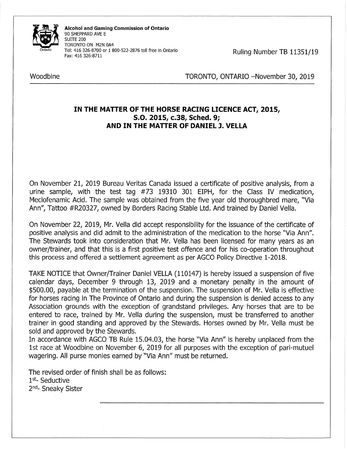

Alcohol and Gaming Commission of Ontario 90 SHEPPARD AVE E SUITE 200 TORONTO ON M2N OA4 Tel: 416 326-8700 or I 800-522-2876 toll free in Ontario Tel: 416 326-8700 or 1 800-522-2876 toll free in Ontario<br>Fax: 416 326-8711<br>Fax: 416 326-8711

Woodbine Woodbine TORONTO, ONTARIO -November 30, 2019

## IN THE MATTER OF THE HORSE RACING LICENCE ACT, 2015, S.O. 2015, c.38, Sched. 9; AND IN THE MATTER OF DANIEL J. VELLA

On November 21, 2019 Bureau Veritas Canada issued a certificate of positive analysis, from a urine sample, with the test tag #73 19310 301 EIPH, for the Class IV medication, Meclofenamic Acid. The sample was obtained from the five year old thoroughbred mare, "Via Ann", Tattoo #R20327, owned by Borders Racing Stable Ltd. And trained by Daniel Vella.

On November 22, 2019, Mr. Vella did accept responsibility for the issuance of the certificate of positive analysis and did admit to the administration of the medication to the horse "Via Ann". The Stewards took into consideration that Mr. Vella has been licensed for many years as an owner/trainer, and that this is a first positive test offence and for his co-operation throughout this process and offered a settlement agreement as per AGCO Policy Directive 1-2018.

TAKE NOTICE that Owner/Trainer Daniel VELLA (110147) is hereby issued a suspension of five calendar days, December 9 through 13, 2019 and a monetary penalty in the amount of \$500.00, payable at the termination of the suspension. The suspension of Mr. Vella is effective for horses racing in The Province of Ontario and during the suspension is denied access to any Association grounds with the exception of grandstand privileges. Any horses that are to be entered to race, trained by Mr. Vella during the suspension, must be transferred to another trainer in good standing and approved by the Stewards. Horses owned by Mr. Vella must be sold and approved by the Stewards.

In accordance with AGCO TB Rule 15.04.03, the horse "Via Ann" is hereby unplaced from the 1st race at Woodbine on November 6, 2019 for all purposes with the exception of pari-mutuel wagering. All purse monies earned by "Via Ann" must be returned.

The revised order of finish shall be as follows: 1st- Seductive 2<sup>nd</sup>- Sneaky Sister